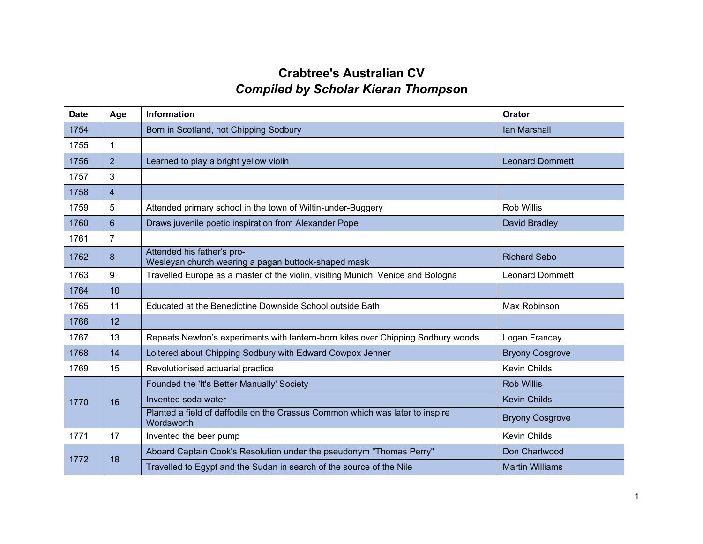## **Crabtree's Australian CV** *Compiled by Scholar Kieran Thompso***n**

| <b>Date</b> | Age                     | <b>Information</b>                                                                          | Orator                 |
|-------------|-------------------------|---------------------------------------------------------------------------------------------|------------------------|
| 1754        |                         | Born in Scotland, not Chipping Sodbury                                                      | <b>Ian Marshall</b>    |
| 1755        | $\mathbf 1$             |                                                                                             |                        |
| 1756        | $\overline{2}$          | Learned to play a bright yellow violin                                                      | <b>Leonard Dommett</b> |
| 1757        | $\mathbf{3}$            |                                                                                             |                        |
| 1758        | $\overline{\mathbf{4}}$ |                                                                                             |                        |
| 1759        | 5                       | Attended primary school in the town of Wiltin-under-Buggery                                 | Rob Willis             |
| 1760        | 6                       | Draws juvenile poetic inspiration from Alexander Pope                                       | David Bradley          |
| 1761        | $\overline{7}$          |                                                                                             |                        |
| 1762        | 8                       | Attended his father's pro-<br>Wesleyan church wearing a pagan buttock-shaped mask           | <b>Richard Sebo</b>    |
| 1763        | 9                       | Travelled Europe as a master of the violin, visiting Munich, Venice and Bologna             | <b>Leonard Dommett</b> |
| 1764        | 10                      |                                                                                             |                        |
| 1765        | 11                      | Educated at the Benedictine Downside School outside Bath                                    | Max Robinson           |
| 1766        | 12                      |                                                                                             |                        |
| 1767        | 13                      | Repeats Newton's experiments with lantern-born kites over Chipping Sodbury woods            | Logan Francey          |
| 1768        | 14                      | Loitered about Chipping Sodbury with Edward Cowpox Jenner                                   | <b>Bryony Cosgrove</b> |
| 1769        | 15                      | Revolutionised actuarial practice                                                           | <b>Kevin Childs</b>    |
|             | 16                      | Founded the 'It's Better Manually' Society                                                  | <b>Rob Willis</b>      |
| 1770        |                         | Invented soda water                                                                         | <b>Kevin Childs</b>    |
|             |                         | Planted a field of daffodils on the Crassus Common which was later to inspire<br>Wordsworth | <b>Bryony Cosgrove</b> |
| 1771        | 17                      | Invented the beer pump                                                                      | Kevin Childs           |
| 1772        | 18                      | Aboard Captain Cook's Resolution under the pseudonym "Thomas Perry"                         | Don Charlwood          |
|             |                         | Travelled to Egypt and the Sudan in search of the source of the Nile                        | <b>Martin Williams</b> |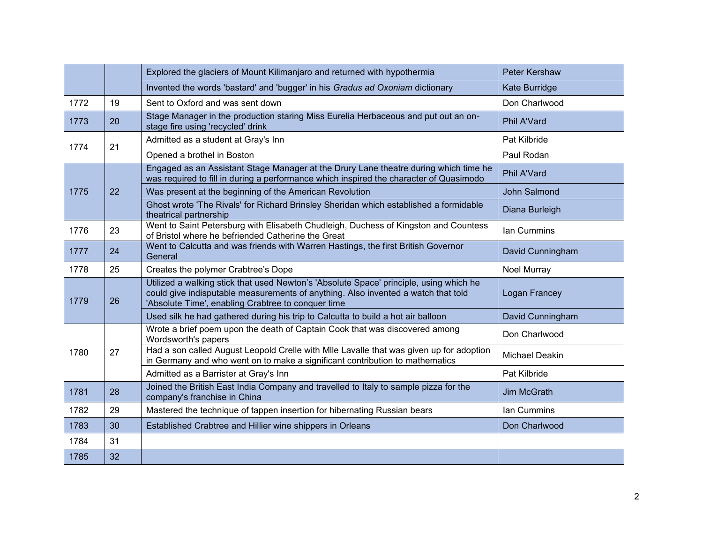|      |    | Explored the glaciers of Mount Kilimanjaro and returned with hypothermia                                                                                                                                                          | <b>Peter Kershaw</b> |
|------|----|-----------------------------------------------------------------------------------------------------------------------------------------------------------------------------------------------------------------------------------|----------------------|
|      |    | Invented the words 'bastard' and 'bugger' in his Gradus ad Oxoniam dictionary                                                                                                                                                     | Kate Burridge        |
| 1772 | 19 | Sent to Oxford and was sent down                                                                                                                                                                                                  | Don Charlwood        |
| 1773 | 20 | Stage Manager in the production staring Miss Eurelia Herbaceous and put out an on-<br>stage fire using 'recycled' drink                                                                                                           | <b>Phil A'Vard</b>   |
|      | 21 | Admitted as a student at Gray's Inn                                                                                                                                                                                               | Pat Kilbride         |
| 1774 |    | Opened a brothel in Boston                                                                                                                                                                                                        | Paul Rodan           |
|      |    | Engaged as an Assistant Stage Manager at the Drury Lane theatre during which time he<br>was required to fill in during a performance which inspired the character of Quasimodo                                                    | Phil A'Vard          |
| 1775 | 22 | Was present at the beginning of the American Revolution                                                                                                                                                                           | John Salmond         |
|      |    | Ghost wrote 'The Rivals' for Richard Brinsley Sheridan which established a formidable<br>theatrical partnership                                                                                                                   | Diana Burleigh       |
| 1776 | 23 | Went to Saint Petersburg with Elisabeth Chudleigh, Duchess of Kingston and Countess<br>of Bristol where he befriended Catherine the Great                                                                                         | lan Cummins          |
| 1777 | 24 | Went to Calcutta and was friends with Warren Hastings, the first British Governor<br>General                                                                                                                                      | David Cunningham     |
| 1778 | 25 | Creates the polymer Crabtree's Dope                                                                                                                                                                                               | Noel Murray          |
| 1779 | 26 | Utilized a walking stick that used Newton's 'Absolute Space' principle, using which he<br>could give indisputable measurements of anything. Also invented a watch that told<br>'Absolute Time', enabling Crabtree to conquer time | Logan Francey        |
|      |    | Used silk he had gathered during his trip to Calcutta to build a hot air balloon                                                                                                                                                  | David Cunningham     |
| 1780 | 27 | Wrote a brief poem upon the death of Captain Cook that was discovered among<br>Wordsworth's papers                                                                                                                                | Don Charlwood        |
|      |    | Had a son called August Leopold Crelle with Mile Lavalle that was given up for adoption<br>in Germany and who went on to make a significant contribution to mathematics                                                           | Michael Deakin       |
|      |    | Admitted as a Barrister at Gray's Inn                                                                                                                                                                                             | Pat Kilbride         |
| 1781 | 28 | Joined the British East India Company and travelled to Italy to sample pizza for the<br>company's franchise in China                                                                                                              | <b>Jim McGrath</b>   |
| 1782 | 29 | Mastered the technique of tappen insertion for hibernating Russian bears                                                                                                                                                          | Ian Cummins          |
| 1783 | 30 | Established Crabtree and Hillier wine shippers in Orleans                                                                                                                                                                         | Don Charlwood        |
| 1784 | 31 |                                                                                                                                                                                                                                   |                      |
| 1785 | 32 |                                                                                                                                                                                                                                   |                      |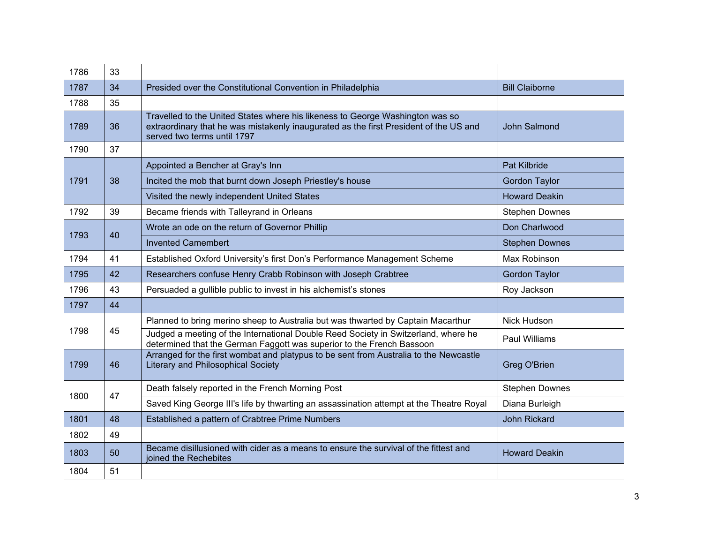| 1786 | 33 |                                                                                                                                                                                                       |                       |
|------|----|-------------------------------------------------------------------------------------------------------------------------------------------------------------------------------------------------------|-----------------------|
| 1787 | 34 | Presided over the Constitutional Convention in Philadelphia                                                                                                                                           | <b>Bill Claiborne</b> |
| 1788 | 35 |                                                                                                                                                                                                       |                       |
| 1789 | 36 | Travelled to the United States where his likeness to George Washington was so<br>extraordinary that he was mistakenly inaugurated as the first President of the US and<br>served two terms until 1797 | <b>John Salmond</b>   |
| 1790 | 37 |                                                                                                                                                                                                       |                       |
|      | 38 | Appointed a Bencher at Gray's Inn                                                                                                                                                                     | <b>Pat Kilbride</b>   |
| 1791 |    | Incited the mob that burnt down Joseph Priestley's house                                                                                                                                              | <b>Gordon Taylor</b>  |
|      |    | Visited the newly independent United States                                                                                                                                                           | <b>Howard Deakin</b>  |
| 1792 | 39 | Became friends with Talleyrand in Orleans                                                                                                                                                             | <b>Stephen Downes</b> |
| 1793 | 40 | Wrote an ode on the return of Governor Phillip                                                                                                                                                        | Don Charlwood         |
|      |    | <b>Invented Camembert</b>                                                                                                                                                                             | <b>Stephen Downes</b> |
| 1794 | 41 | Established Oxford University's first Don's Performance Management Scheme                                                                                                                             | Max Robinson          |
| 1795 | 42 | Researchers confuse Henry Crabb Robinson with Joseph Crabtree                                                                                                                                         | <b>Gordon Taylor</b>  |
| 1796 | 43 | Persuaded a gullible public to invest in his alchemist's stones                                                                                                                                       | Roy Jackson           |
| 1797 | 44 |                                                                                                                                                                                                       |                       |
|      | 45 | Planned to bring merino sheep to Australia but was thwarted by Captain Macarthur                                                                                                                      | Nick Hudson           |
| 1798 |    | Judged a meeting of the International Double Reed Society in Switzerland, where he<br>determined that the German Faggott was superior to the French Bassoon                                           | Paul Williams         |
| 1799 | 46 | Arranged for the first wombat and platypus to be sent from Australia to the Newcastle<br><b>Literary and Philosophical Society</b>                                                                    | Greg O'Brien          |
|      | 47 | Death falsely reported in the French Morning Post                                                                                                                                                     | <b>Stephen Downes</b> |
| 1800 |    | Saved King George III's life by thwarting an assassination attempt at the Theatre Royal                                                                                                               | Diana Burleigh        |
| 1801 | 48 | Established a pattern of Crabtree Prime Numbers                                                                                                                                                       | <b>John Rickard</b>   |
| 1802 | 49 |                                                                                                                                                                                                       |                       |
| 1803 | 50 | Became disillusioned with cider as a means to ensure the survival of the fittest and<br>joined the Rechebites                                                                                         | <b>Howard Deakin</b>  |
| 1804 | 51 |                                                                                                                                                                                                       |                       |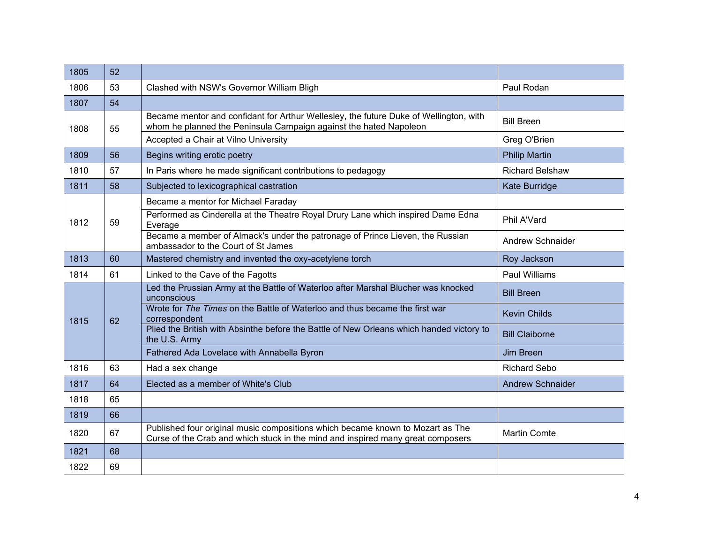| 1805 | 52 |                                                                                                                                                                   |                         |
|------|----|-------------------------------------------------------------------------------------------------------------------------------------------------------------------|-------------------------|
| 1806 | 53 | Clashed with NSW's Governor William Bligh                                                                                                                         | Paul Rodan              |
| 1807 | 54 |                                                                                                                                                                   |                         |
| 1808 | 55 | Became mentor and confidant for Arthur Wellesley, the future Duke of Wellington, with<br>whom he planned the Peninsula Campaign against the hated Napoleon        | <b>Bill Breen</b>       |
|      |    | Accepted a Chair at Vilno University                                                                                                                              | Greg O'Brien            |
| 1809 | 56 | Begins writing erotic poetry                                                                                                                                      | <b>Philip Martin</b>    |
| 1810 | 57 | In Paris where he made significant contributions to pedagogy                                                                                                      | <b>Richard Belshaw</b>  |
| 1811 | 58 | Subjected to lexicographical castration                                                                                                                           | Kate Burridge           |
|      |    | Became a mentor for Michael Faraday                                                                                                                               |                         |
| 1812 | 59 | Performed as Cinderella at the Theatre Royal Drury Lane which inspired Dame Edna<br>Everage                                                                       | Phil A'Vard             |
|      |    | Became a member of Almack's under the patronage of Prince Lieven, the Russian<br>ambassador to the Court of St James                                              | <b>Andrew Schnaider</b> |
| 1813 | 60 | Mastered chemistry and invented the oxy-acetylene torch                                                                                                           | Roy Jackson             |
| 1814 | 61 | Linked to the Cave of the Fagotts                                                                                                                                 | <b>Paul Williams</b>    |
| 1815 | 62 | Led the Prussian Army at the Battle of Waterloo after Marshal Blucher was knocked<br>unconscious                                                                  | <b>Bill Breen</b>       |
|      |    | Wrote for The Times on the Battle of Waterloo and thus became the first war<br>correspondent                                                                      | <b>Kevin Childs</b>     |
|      |    | Plied the British with Absinthe before the Battle of New Orleans which handed victory to<br>the U.S. Army                                                         | <b>Bill Claiborne</b>   |
|      |    | Fathered Ada Lovelace with Annabella Byron                                                                                                                        | <b>Jim Breen</b>        |
| 1816 | 63 | Had a sex change                                                                                                                                                  | <b>Richard Sebo</b>     |
| 1817 | 64 | Elected as a member of White's Club                                                                                                                               | <b>Andrew Schnaider</b> |
| 1818 | 65 |                                                                                                                                                                   |                         |
| 1819 | 66 |                                                                                                                                                                   |                         |
| 1820 | 67 | Published four original music compositions which became known to Mozart as The<br>Curse of the Crab and which stuck in the mind and inspired many great composers | <b>Martin Comte</b>     |
| 1821 | 68 |                                                                                                                                                                   |                         |
| 1822 | 69 |                                                                                                                                                                   |                         |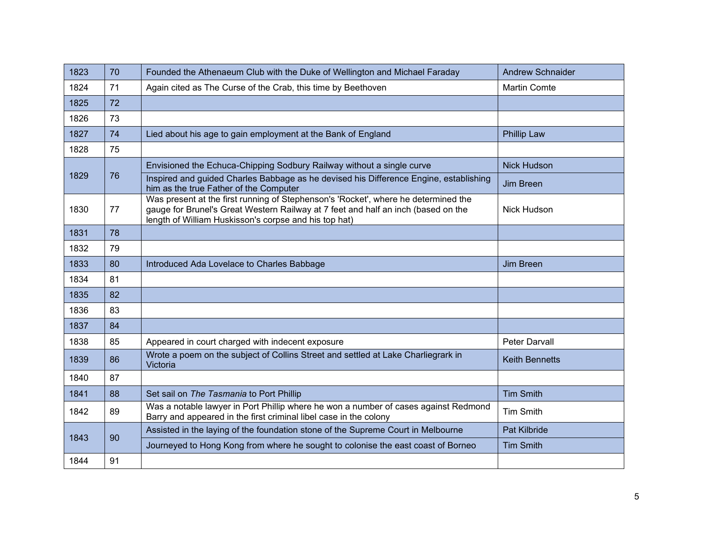| 1823 | 70 | Founded the Athenaeum Club with the Duke of Wellington and Michael Faraday                                                                                                                                                       | <b>Andrew Schnaider</b> |
|------|----|----------------------------------------------------------------------------------------------------------------------------------------------------------------------------------------------------------------------------------|-------------------------|
| 1824 | 71 | Again cited as The Curse of the Crab, this time by Beethoven                                                                                                                                                                     | <b>Martin Comte</b>     |
| 1825 | 72 |                                                                                                                                                                                                                                  |                         |
| 1826 | 73 |                                                                                                                                                                                                                                  |                         |
| 1827 | 74 | Lied about his age to gain employment at the Bank of England                                                                                                                                                                     | <b>Phillip Law</b>      |
| 1828 | 75 |                                                                                                                                                                                                                                  |                         |
|      | 76 | Envisioned the Echuca-Chipping Sodbury Railway without a single curve                                                                                                                                                            | <b>Nick Hudson</b>      |
| 1829 |    | Inspired and guided Charles Babbage as he devised his Difference Engine, establishing<br>him as the true Father of the Computer                                                                                                  | Jim Breen               |
| 1830 | 77 | Was present at the first running of Stephenson's 'Rocket', where he determined the<br>gauge for Brunel's Great Western Railway at 7 feet and half an inch (based on the<br>length of William Huskisson's corpse and his top hat) | <b>Nick Hudson</b>      |
| 1831 | 78 |                                                                                                                                                                                                                                  |                         |
| 1832 | 79 |                                                                                                                                                                                                                                  |                         |
| 1833 | 80 | Introduced Ada Lovelace to Charles Babbage                                                                                                                                                                                       | Jim Breen               |
| 1834 | 81 |                                                                                                                                                                                                                                  |                         |
| 1835 | 82 |                                                                                                                                                                                                                                  |                         |
| 1836 | 83 |                                                                                                                                                                                                                                  |                         |
| 1837 | 84 |                                                                                                                                                                                                                                  |                         |
| 1838 | 85 | Appeared in court charged with indecent exposure                                                                                                                                                                                 | Peter Darvall           |
| 1839 | 86 | Wrote a poem on the subject of Collins Street and settled at Lake Charliegrark in<br>Victoria                                                                                                                                    | <b>Keith Bennetts</b>   |
| 1840 | 87 |                                                                                                                                                                                                                                  |                         |
| 1841 | 88 | Set sail on The Tasmania to Port Phillip                                                                                                                                                                                         | <b>Tim Smith</b>        |
| 1842 | 89 | Was a notable lawyer in Port Phillip where he won a number of cases against Redmond<br>Barry and appeared in the first criminal libel case in the colony                                                                         | <b>Tim Smith</b>        |
| 1843 | 90 | Assisted in the laying of the foundation stone of the Supreme Court in Melbourne                                                                                                                                                 | Pat Kilbride            |
|      |    | Journeyed to Hong Kong from where he sought to colonise the east coast of Borneo                                                                                                                                                 | <b>Tim Smith</b>        |
| 1844 | 91 |                                                                                                                                                                                                                                  |                         |